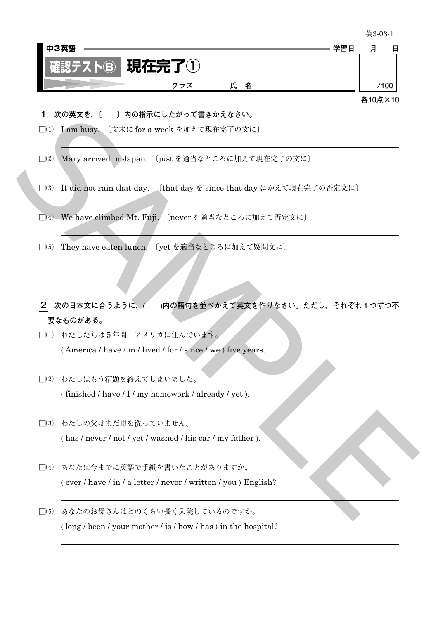|           | 中3英語<br>学習日                                                                              | 月       |
|-----------|------------------------------------------------------------------------------------------|---------|
|           | 現在完了 $\bigcirc$<br>$Z$ $\blacktriangleright$ $\blacktriangleright$ $\blacktriangleright$ |         |
|           | 氏名<br>クラス                                                                                | /100    |
|           |                                                                                          | 各10点×10 |
|           | 次の英文を. [<br>〕内の指示にしたがって書きかえなさい。                                                          |         |
|           | 〔文末に for a week を加えて現在完了の文に〕<br>$\Box(1)$ I am busy.                                     |         |
|           |                                                                                          |         |
|           | □(2) Mary arrived in Japan. 〔just を適当なところに加えて現在完了の文に〕                                    |         |
|           |                                                                                          |         |
|           | □(3) It did not rain that day. 〔that day を since that day にかえて現在完了の否定文に〕                 |         |
| $\Box(4)$ | We have climbed Mt. Fuji. 〔never を適当なところに加えて否定文に〕                                        |         |
|           |                                                                                          |         |
| $\Box(5)$ | They have eaten lunch. 〔yet を適当なところに加えて疑問文に〕                                             |         |
|           |                                                                                          |         |
|           |                                                                                          |         |
|           |                                                                                          |         |
|           | 次の日本文に合うように, (<br>)内の語句を並べかえて英文を作りなさい。ただし,それぞれ1つずつ不                                      |         |
|           | 要なものがある。<br>□(1) わたしたちは5年間、アメリカに住んでいます。                                                  |         |
|           | (America / have / in / lived / for / since / we) five years.                             |         |
|           |                                                                                          |         |
| $\Box(2)$ | わたしはもう宿題を終えてしまいました。                                                                      |         |
|           | (finished / have / I / my homework / already / yet).                                     |         |
|           |                                                                                          |         |
| $\Box(3)$ | わたしの父はまだ車を洗っていません。                                                                       |         |
|           |                                                                                          |         |
|           | (has / never / not / yet / washed / his car / my father).                                |         |
|           |                                                                                          |         |
| $\Box(4)$ | あなたは今までに英語で手紙を書いたことがありますか。                                                               |         |
|           | (ever / have / in / a letter / never / written / you ) English?                          |         |

- □(4) We have climbed Mt. Fuji. 〔never を適当なところに加えて否定文に〕
- □(5) They have eaten lunch. 〔yet を適当なところに加えて疑問文に〕

L

- **2 次の日本文に合うように,( )内の語句を並べかえて英文を作りなさい。ただし,それぞれ1つずつ不 要なものがある。**
- □(1) わたしたちは5年間、アメリカに住んでいます。 ( America / have / in / lived / for / since / we ) five years.
- □(2) わたしはもう宿題を終えてしまいました。 (finished  $/$  have  $/$  I  $/$  my homework  $/$  already  $/$  yet  $).$
- □⑶ わたしの父はまだ車を洗っていません。 ( has / never / not / yet / washed / his car / my father ).
- □(4) あなたは今までに英語で手紙を書いたことがありますか。 ( ever / have / in / a letter / never / written / you ) English?
- □(5) あなたのお母さんはどのくらい長く入院しているのですか。 ( long / been / your mother / is / how / has ) in the hospital?